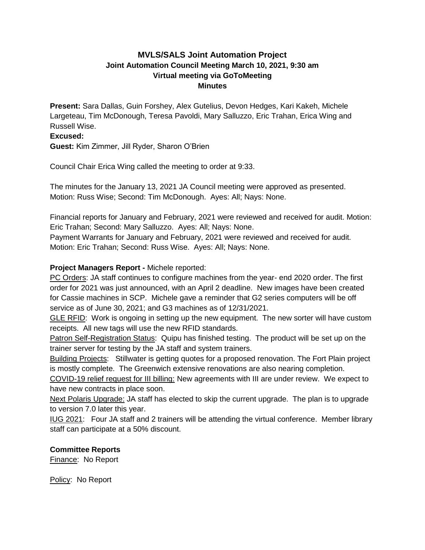# **MVLS/SALS Joint Automation Project Joint Automation Council Meeting March 10, 2021, 9:30 am Virtual meeting via GoToMeeting Minutes**

**Present:** Sara Dallas, Guin Forshey, Alex Gutelius, Devon Hedges, Kari Kakeh, Michele Largeteau, Tim McDonough, Teresa Pavoldi, Mary Salluzzo, Eric Trahan, Erica Wing and Russell Wise.

### **Excused:**

**Guest:** Kim Zimmer, Jill Ryder, Sharon O'Brien

Council Chair Erica Wing called the meeting to order at 9:33.

The minutes for the January 13, 2021 JA Council meeting were approved as presented. Motion: Russ Wise; Second: Tim McDonough. Ayes: All; Nays: None.

Financial reports for January and February, 2021 were reviewed and received for audit. Motion: Eric Trahan; Second: Mary Salluzzo. Ayes: All; Nays: None.

Payment Warrants for January and February, 2021 were reviewed and received for audit. Motion: Eric Trahan; Second: Russ Wise. Ayes: All; Nays: None.

# **Project Managers Report -** Michele reported:

PC Orders: JA staff continues to configure machines from the year- end 2020 order. The first order for 2021 was just announced, with an April 2 deadline. New images have been created for Cassie machines in SCP. Michele gave a reminder that G2 series computers will be off service as of June 30, 2021; and G3 machines as of 12/31/2021.

GLE RFID: Work is ongoing in setting up the new equipment. The new sorter will have custom receipts. All new tags will use the new RFID standards.

Patron Self-Registration Status: Quipu has finished testing. The product will be set up on the trainer server for testing by the JA staff and system trainers.

Building Projects: Stillwater is getting quotes for a proposed renovation. The Fort Plain project is mostly complete. The Greenwich extensive renovations are also nearing completion.

COVID-19 relief request for III billing: New agreements with III are under review. We expect to have new contracts in place soon.

Next Polaris Upgrade: JA staff has elected to skip the current upgrade. The plan is to upgrade to version 7.0 later this year.

IUG 2021: Four JA staff and 2 trainers will be attending the virtual conference. Member library staff can participate at a 50% discount.

# **Committee Reports**

Finance: No Report

Policy: No Report